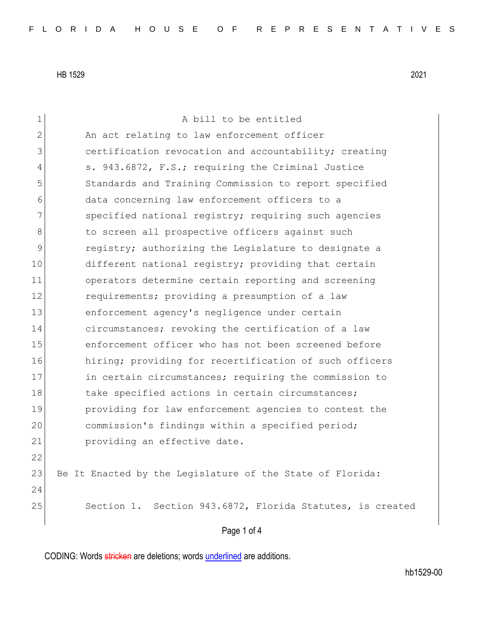| $\mathbf 1$  | A bill to be entitled                                     |
|--------------|-----------------------------------------------------------|
| $\mathbf{2}$ | An act relating to law enforcement officer                |
| 3            | certification revocation and accountability; creating     |
| 4            | s. 943.6872, F.S.; requiring the Criminal Justice         |
| 5            | Standards and Training Commission to report specified     |
| 6            | data concerning law enforcement officers to a             |
| 7            | specified national registry; requiring such agencies      |
| 8            | to screen all prospective officers against such           |
| 9            | registry; authorizing the Legislature to designate a      |
| 10           | different national registry; providing that certain       |
| 11           | operators determine certain reporting and screening       |
| 12           | requirements; providing a presumption of a law            |
| 13           | enforcement agency's negligence under certain             |
| 14           | circumstances; revoking the certification of a law        |
| 15           | enforcement officer who has not been screened before      |
| 16           | hiring; providing for recertification of such officers    |
| 17           | in certain circumstances; requiring the commission to     |
| 18           | take specified actions in certain circumstances;          |
| 19           | providing for law enforcement agencies to contest the     |
| 20           | commission's findings within a specified period;          |
| 21           | providing an effective date.                              |
| 22           |                                                           |
| 23           | Be It Enacted by the Legislature of the State of Florida: |
| 24           |                                                           |
| 25           | Section 1. Section 943.6872, Florida Statutes, is created |
|              | Page 1 of 4                                               |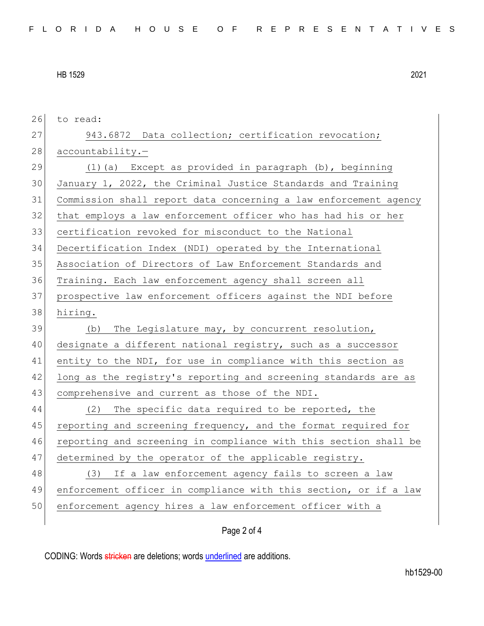| 26 | to read:                                                         |
|----|------------------------------------------------------------------|
| 27 | 943.6872 Data collection; certification revocation;              |
| 28 | accountability.-                                                 |
| 29 | $(1)$ (a) Except as provided in paragraph (b), beginning         |
| 30 | January 1, 2022, the Criminal Justice Standards and Training     |
| 31 | Commission shall report data concerning a law enforcement agency |
| 32 | that employs a law enforcement officer who has had his or her    |
| 33 | certification revoked for misconduct to the National             |
| 34 | Decertification Index (NDI) operated by the International        |
| 35 | Association of Directors of Law Enforcement Standards and        |
| 36 | Training. Each law enforcement agency shall screen all           |
| 37 | prospective law enforcement officers against the NDI before      |
| 38 | hiring.                                                          |
| 39 | The Legislature may, by concurrent resolution,<br>(b)            |
| 40 | designate a different national registry, such as a successor     |
|    |                                                                  |
| 41 | entity to the NDI, for use in compliance with this section as    |
| 42 | long as the registry's reporting and screening standards are as  |
| 43 | comprehensive and current as those of the NDI.                   |
| 44 | The specific data required to be reported, the<br>(2)            |
| 45 | reporting and screening frequency, and the format required for   |
| 46 | reporting and screening in compliance with this section shall be |
| 47 | determined by the operator of the applicable registry.           |
| 48 | (3) If a law enforcement agency fails to screen a law            |
| 49 | enforcement officer in compliance with this section, or if a law |
| 50 | enforcement agency hires a law enforcement officer with a        |

## Page 2 of 4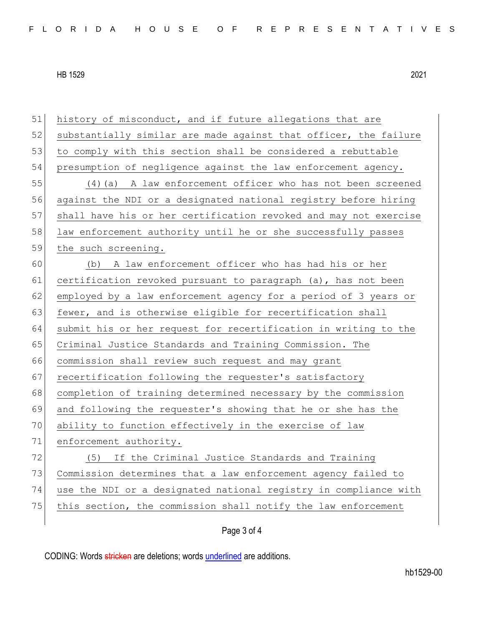51 history of misconduct, and if future allegations that are 52 substantially similar are made against that officer, the failure 53 to comply with this section shall be considered a rebuttable 54 presumption of negligence against the law enforcement agency. 55 (4)(a) A law enforcement officer who has not been screened 56 against the NDI or a designated national registry before hiring 57 shall have his or her certification revoked and may not exercise 58 law enforcement authority until he or she successfully passes 59 the such screening. 60 (b) A law enforcement officer who has had his or her 61 certification revoked pursuant to paragraph (a), has not been 62 employed by a law enforcement agency for a period of 3 years or 63 fewer, and is otherwise eligible for recertification shall 64 submit his or her request for recertification in writing to the 65 Criminal Justice Standards and Training Commission. The 66 commission shall review such request and may grant 67 recertification following the requester's satisfactory 68 completion of training determined necessary by the commission 69 and following the requester's showing that he or she has the 70 ability to function effectively in the exercise of law 71 enforcement authority. 72 (5) If the Criminal Justice Standards and Training 73 Commission determines that a law enforcement agency failed to 74 use the NDI or a designated national registry in compliance with 75 this section, the commission shall notify the law enforcement

## Page 3 of 4